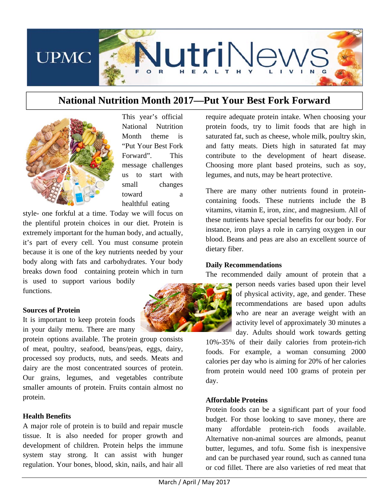

# **National Nutrition Month 2017—Put Your Best Fork Forward**



This year's official National Nutrition Month theme is "Put Your Best Fork Forward". This message challenges us to start with small changes toward a healthful eating

style- one forkful at a time. Today we will focus on the plentiful protein choices in our diet. Protein is extremely important for the human body, and actually, it's part of every cell. You must consume protein because it is one of the key nutrients needed by your body along with fats and carbohydrates. Your body breaks down food…containing protein which in turn is used to support various bodily

functions.

#### **Sources of Protein**

It is important to keep protein foods in your daily menu. There are many

protein options available. The protein group consists of meat, poultry, seafood, beans/peas, eggs, dairy, processed soy products, nuts, and seeds. Meats and dairy are the most concentrated sources of protein. Our grains, legumes, and vegetables contribute smaller amounts of protein. Fruits contain almost no protein.

## **Health Benefits**

A major role of protein is to build and repair muscle tissue. It is also needed for proper growth and development of children. Protein helps the immune system stay strong. It can assist with hunger regulation. Your bones, blood, skin, nails, and hair all require adequate protein intake. When choosing your protein foods, try to limit foods that are high in saturated fat, such as cheese, whole milk, poultry skin, and fatty meats. Diets high in saturated fat may contribute to the development of heart disease. Choosing more plant based proteins, such as soy, legumes, and nuts, may be heart protective.

There are many other nutrients found in proteincontaining foods. These nutrients include the B vitamins, vitamin E, iron, zinc, and magnesium. All of these nutrients have special benefits for our body. For instance, iron plays a role in carrying oxygen in our blood. Beans and peas are also an excellent source of dietary fiber.

## **Daily Recommendations**

The recommended daily amount of protein that a



person needs varies based upon their level of physical activity, age, and gender. These recommendations are based upon adults who are near an average weight with an activity level of approximately 30 minutes a day. Adults should work towards getting

10%-35% of their daily calories from protein-rich foods. For example, a woman consuming 2000 calories per day who is aiming for 20% of her calories from protein would need 100 grams of protein per day.

## **Affordable Proteins**

Protein foods can be a significant part of your food budget. For those looking to save money, there are many affordable protein-rich foods available. Alternative non-animal sources are almonds, peanut butter, legumes, and tofu. Some fish is inexpensive and can be purchased year round, such as canned tuna or cod fillet. There are also varieties of red meat that